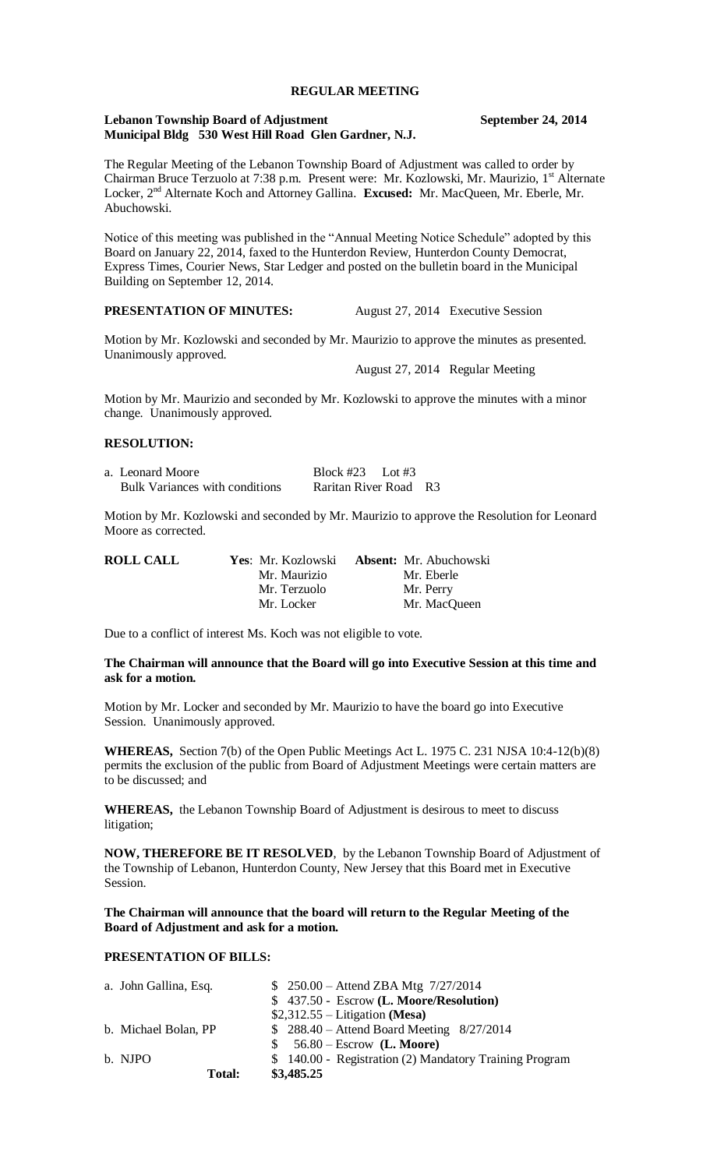#### **REGULAR MEETING**

#### **Lebanon Township Board of Adjustment September 24, 2014 Municipal Bldg 530 West Hill Road Glen Gardner, N.J.**

The Regular Meeting of the Lebanon Township Board of Adjustment was called to order by Chairman Bruce Terzuolo at 7:38 p.m. Present were: Mr. Kozlowski, Mr. Maurizio, 1<sup>st</sup> Alternate Locker, 2<sup>nd</sup> Alternate Koch and Attorney Gallina. **Excused:** Mr. MacQueen, Mr. Eberle, Mr. Abuchowski.

Notice of this meeting was published in the "Annual Meeting Notice Schedule" adopted by this Board on January 22, 2014, faxed to the Hunterdon Review, Hunterdon County Democrat, Express Times, Courier News, Star Ledger and posted on the bulletin board in the Municipal Building on September 12, 2014.

# **PRESENTATION OF MINUTES:** August 27, 2014 Executive Session

Motion by Mr. Kozlowski and seconded by Mr. Maurizio to approve the minutes as presented. Unanimously approved.

August 27, 2014 Regular Meeting

Motion by Mr. Maurizio and seconded by Mr. Kozlowski to approve the minutes with a minor change. Unanimously approved.

# **RESOLUTION:**

| a. Leonard Moore                      | Block #23 Lot #3      |  |
|---------------------------------------|-----------------------|--|
| <b>Bulk Variances with conditions</b> | Raritan River Road R3 |  |

Motion by Mr. Kozlowski and seconded by Mr. Maurizio to approve the Resolution for Leonard Moore as corrected.

| Yes: Mr. Kozlowski | <b>Absent:</b> Mr. Abuchowski |  |
|--------------------|-------------------------------|--|
| Mr. Maurizio       | Mr. Eberle                    |  |
| Mr. Terzuolo       | Mr. Perry                     |  |
| Mr. Locker         | Mr. MacQueen                  |  |
|                    |                               |  |

Due to a conflict of interest Ms. Koch was not eligible to vote.

# **The Chairman will announce that the Board will go into Executive Session at this time and ask for a motion.**

Motion by Mr. Locker and seconded by Mr. Maurizio to have the board go into Executive Session. Unanimously approved.

**WHEREAS,** Section 7(b) of the Open Public Meetings Act L. 1975 C. 231 NJSA 10:4-12(b)(8) permits the exclusion of the public from Board of Adjustment Meetings were certain matters are to be discussed; and

**WHEREAS,** the Lebanon Township Board of Adjustment is desirous to meet to discuss litigation;

**NOW, THEREFORE BE IT RESOLVED**, by the Lebanon Township Board of Adjustment of the Township of Lebanon, Hunterdon County, New Jersey that this Board met in Executive Session.

**The Chairman will announce that the board will return to the Regular Meeting of the Board of Adjustment and ask for a motion.**

# **PRESENTATION OF BILLS:**

| a. John Gallina, Esq. | $$250.00 -$ Attend ZBA Mtg $7/27/2014$                  |
|-----------------------|---------------------------------------------------------|
|                       | \$ 437.50 - Escrow (L. Moore/Resolution)                |
|                       | $$2,312.55$ – Litigation (Mesa)                         |
| b. Michael Bolan, PP  | $$288.40 -$ Attend Board Meeting $8/27/2014$            |
|                       | $$56.80 - Escrow$ (L. Moore)                            |
| b. NJPO               | \$ 140.00 - Registration (2) Mandatory Training Program |
| Total:                | \$3,485.25                                              |